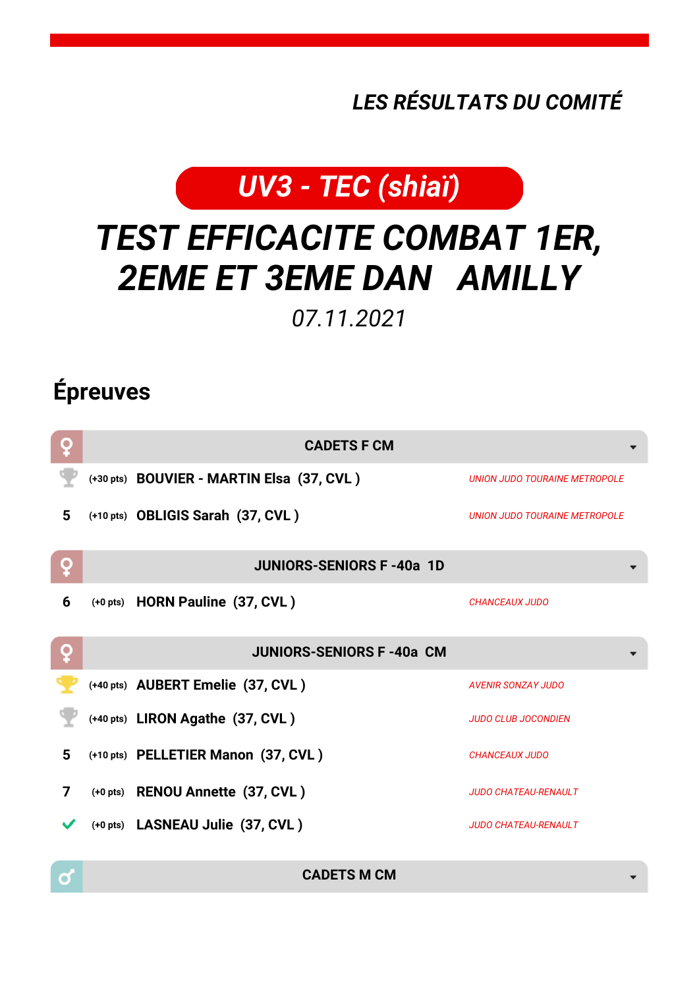## *LES RÉSULTATS DU COMITÉ*



## *TEST EFFICACITE COMBAT 1ER, 2EME ET 3EME DAN AMILLY*

*07.11.2021*

## **Épreuves**

 $\sigma$ 

| ò | <b>CADETS F CM</b>                        |                                      |
|---|-------------------------------------------|--------------------------------------|
|   | (+30 pts) BOUVIER - MARTIN Elsa (37, CVL) | <b>UNION JUDO TOURAINE METROPOLE</b> |
| 5 | (+10 pts) OBLIGIS Sarah (37, CVL)         | UNION JUDO TOURAINE METROPOLE        |
| Q | <b>JUNIORS-SENIORS F-40a 1D</b>           |                                      |
| 6 | (+0 pts) HORN Pauline (37, CVL)           | <b>CHANCEAUX JUDO</b>                |
| Q | <b>JUNIORS-SENIORS F-40a CM</b>           |                                      |
|   | (+40 pts) AUBERT Emelie (37, CVL)         | <b>AVENIR SONZAY JUDO</b>            |
|   | (+40 pts) LIRON Agathe (37, CVL)          | <b>JUDO CLUB JOCONDIEN</b>           |
| 5 | (+10 pts) PELLETIER Manon (37, CVL)       | <b>CHANCEAUX JUDO</b>                |
| 7 | (+0 pts) RENOU Annette (37, CVL)          | <b>JUDO CHATEAU-RENAULT</b>          |
|   | (+0 pts) LASNEAU Julie (37, CVL)          | <b>JUDO CHATEAU-RENAULT</b>          |

**CADETS M CM**